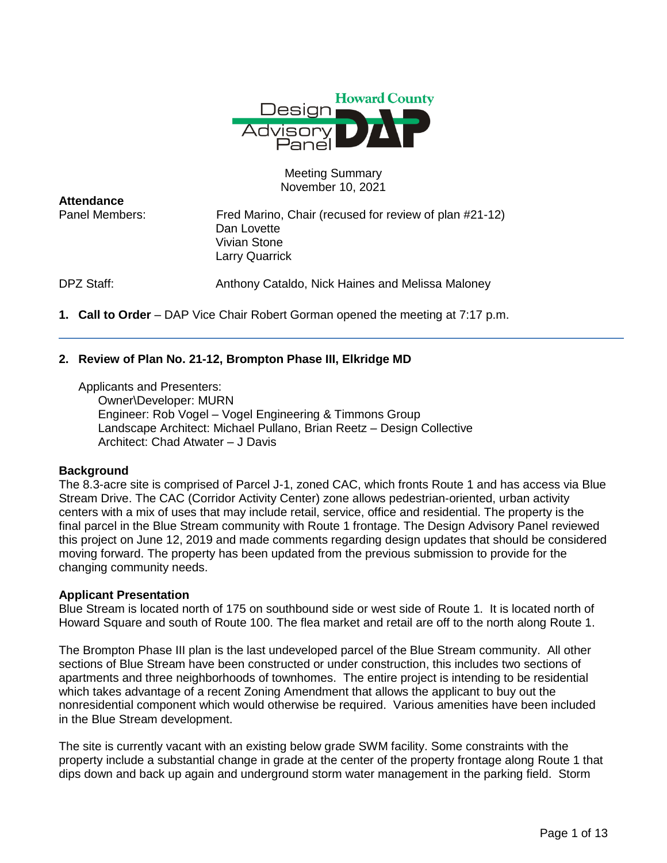

### Meeting Summary November 10, 2021

**Attendance**

Panel Members: Fred Marino, Chair (recused for review of plan #21-12) Dan Lovette Vivian Stone Larry Quarrick

DPZ Staff: Anthony Cataldo, Nick Haines and Melissa Maloney

**1. Call to Order** – DAP Vice Chair Robert Gorman opened the meeting at 7:17 p.m.

# **2. Review of Plan No. 21-12, Brompton Phase III, Elkridge MD**

Applicants and Presenters:

Owner\Developer: MURN Engineer: Rob Vogel – Vogel Engineering & Timmons Group Landscape Architect: Michael Pullano, Brian Reetz – Design Collective Architect: Chad Atwater – J Davis

# **Background**

The 8.3-acre site is comprised of Parcel J-1, zoned CAC, which fronts Route 1 and has access via Blue Stream Drive. The CAC (Corridor Activity Center) zone allows pedestrian-oriented, urban activity centers with a mix of uses that may include retail, service, office and residential. The property is the final parcel in the Blue Stream community with Route 1 frontage. The Design Advisory Panel reviewed this project on June 12, 2019 and made comments regarding design updates that should be considered moving forward. The property has been updated from the previous submission to provide for the changing community needs.

### **Applicant Presentation**

Blue Stream is located north of 175 on southbound side or west side of Route 1. It is located north of Howard Square and south of Route 100. The flea market and retail are off to the north along Route 1.

The Brompton Phase III plan is the last undeveloped parcel of the Blue Stream community. All other sections of Blue Stream have been constructed or under construction, this includes two sections of apartments and three neighborhoods of townhomes. The entire project is intending to be residential which takes advantage of a recent Zoning Amendment that allows the applicant to buy out the nonresidential component which would otherwise be required. Various amenities have been included in the Blue Stream development.

The site is currently vacant with an existing below grade SWM facility. Some constraints with the property include a substantial change in grade at the center of the property frontage along Route 1 that dips down and back up again and underground storm water management in the parking field. Storm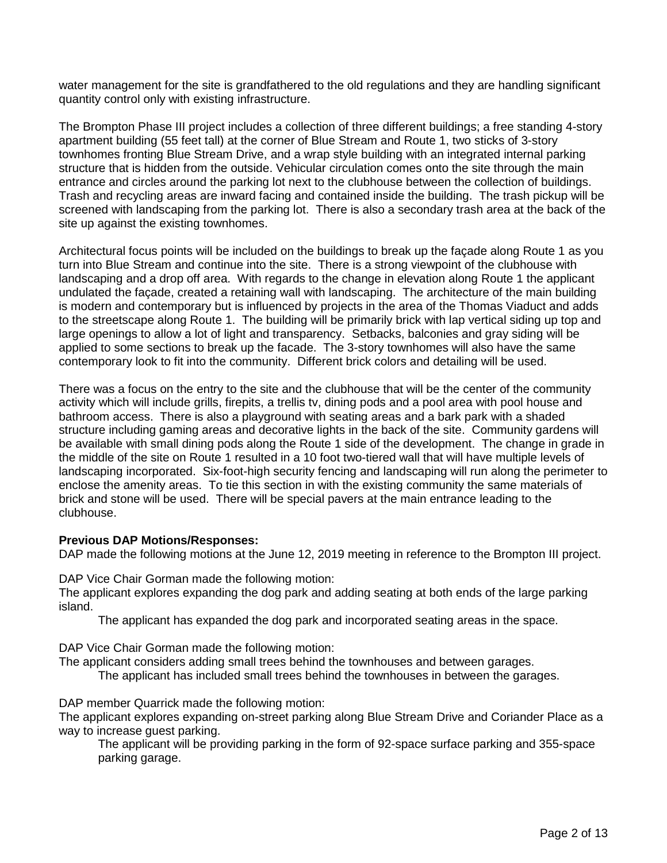water management for the site is grandfathered to the old regulations and they are handling significant quantity control only with existing infrastructure.

The Brompton Phase III project includes a collection of three different buildings; a free standing 4-story apartment building (55 feet tall) at the corner of Blue Stream and Route 1, two sticks of 3-story townhomes fronting Blue Stream Drive, and a wrap style building with an integrated internal parking structure that is hidden from the outside. Vehicular circulation comes onto the site through the main entrance and circles around the parking lot next to the clubhouse between the collection of buildings. Trash and recycling areas are inward facing and contained inside the building. The trash pickup will be screened with landscaping from the parking lot. There is also a secondary trash area at the back of the site up against the existing townhomes.

Architectural focus points will be included on the buildings to break up the façade along Route 1 as you turn into Blue Stream and continue into the site. There is a strong viewpoint of the clubhouse with landscaping and a drop off area. With regards to the change in elevation along Route 1 the applicant undulated the façade, created a retaining wall with landscaping. The architecture of the main building is modern and contemporary but is influenced by projects in the area of the Thomas Viaduct and adds to the streetscape along Route 1. The building will be primarily brick with lap vertical siding up top and large openings to allow a lot of light and transparency. Setbacks, balconies and gray siding will be applied to some sections to break up the facade. The 3-story townhomes will also have the same contemporary look to fit into the community. Different brick colors and detailing will be used.

There was a focus on the entry to the site and the clubhouse that will be the center of the community activity which will include grills, firepits, a trellis tv, dining pods and a pool area with pool house and bathroom access. There is also a playground with seating areas and a bark park with a shaded structure including gaming areas and decorative lights in the back of the site. Community gardens will be available with small dining pods along the Route 1 side of the development. The change in grade in the middle of the site on Route 1 resulted in a 10 foot two-tiered wall that will have multiple levels of landscaping incorporated. Six-foot-high security fencing and landscaping will run along the perimeter to enclose the amenity areas. To tie this section in with the existing community the same materials of brick and stone will be used. There will be special pavers at the main entrance leading to the clubhouse.

# **Previous DAP Motions/Responses:**

DAP made the following motions at the June 12, 2019 meeting in reference to the Brompton III project.

DAP Vice Chair Gorman made the following motion:

The applicant explores expanding the dog park and adding seating at both ends of the large parking island.

The applicant has expanded the dog park and incorporated seating areas in the space.

DAP Vice Chair Gorman made the following motion:

The applicant considers adding small trees behind the townhouses and between garages.

The applicant has included small trees behind the townhouses in between the garages.

DAP member Quarrick made the following motion:

The applicant explores expanding on-street parking along Blue Stream Drive and Coriander Place as a way to increase guest parking.

The applicant will be providing parking in the form of 92-space surface parking and 355-space parking garage.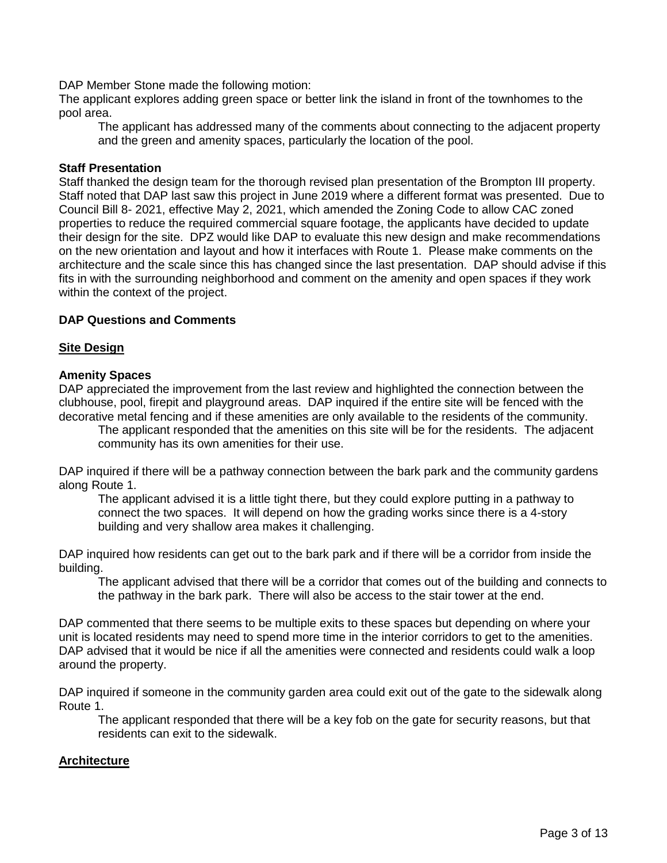DAP Member Stone made the following motion:

The applicant explores adding green space or better link the island in front of the townhomes to the pool area.

The applicant has addressed many of the comments about connecting to the adjacent property and the green and amenity spaces, particularly the location of the pool.

## **Staff Presentation**

Staff thanked the design team for the thorough revised plan presentation of the Brompton III property. Staff noted that DAP last saw this project in June 2019 where a different format was presented. Due to Council Bill 8- 2021, effective May 2, 2021, which amended the Zoning Code to allow CAC zoned properties to reduce the required commercial square footage, the applicants have decided to update their design for the site. DPZ would like DAP to evaluate this new design and make recommendations on the new orientation and layout and how it interfaces with Route 1. Please make comments on the architecture and the scale since this has changed since the last presentation. DAP should advise if this fits in with the surrounding neighborhood and comment on the amenity and open spaces if they work within the context of the project.

## **DAP Questions and Comments**

## **Site Design**

## **Amenity Spaces**

DAP appreciated the improvement from the last review and highlighted the connection between the clubhouse, pool, firepit and playground areas. DAP inquired if the entire site will be fenced with the decorative metal fencing and if these amenities are only available to the residents of the community.

The applicant responded that the amenities on this site will be for the residents. The adjacent community has its own amenities for their use.

DAP inquired if there will be a pathway connection between the bark park and the community gardens along Route 1.

The applicant advised it is a little tight there, but they could explore putting in a pathway to connect the two spaces. It will depend on how the grading works since there is a 4-story building and very shallow area makes it challenging.

DAP inquired how residents can get out to the bark park and if there will be a corridor from inside the building.

The applicant advised that there will be a corridor that comes out of the building and connects to the pathway in the bark park. There will also be access to the stair tower at the end.

DAP commented that there seems to be multiple exits to these spaces but depending on where your unit is located residents may need to spend more time in the interior corridors to get to the amenities. DAP advised that it would be nice if all the amenities were connected and residents could walk a loop around the property.

DAP inquired if someone in the community garden area could exit out of the gate to the sidewalk along Route 1.

The applicant responded that there will be a key fob on the gate for security reasons, but that residents can exit to the sidewalk.

### **Architecture**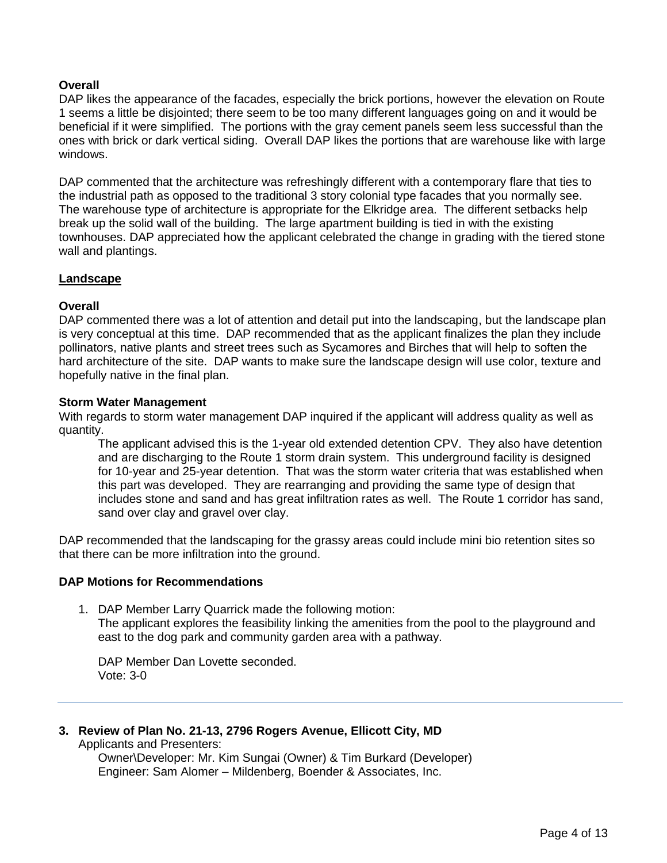# **Overall**

DAP likes the appearance of the facades, especially the brick portions, however the elevation on Route 1 seems a little be disjointed; there seem to be too many different languages going on and it would be beneficial if it were simplified. The portions with the gray cement panels seem less successful than the ones with brick or dark vertical siding. Overall DAP likes the portions that are warehouse like with large windows.

DAP commented that the architecture was refreshingly different with a contemporary flare that ties to the industrial path as opposed to the traditional 3 story colonial type facades that you normally see. The warehouse type of architecture is appropriate for the Elkridge area. The different setbacks help break up the solid wall of the building. The large apartment building is tied in with the existing townhouses. DAP appreciated how the applicant celebrated the change in grading with the tiered stone wall and plantings.

### **Landscape**

### **Overall**

DAP commented there was a lot of attention and detail put into the landscaping, but the landscape plan is very conceptual at this time. DAP recommended that as the applicant finalizes the plan they include pollinators, native plants and street trees such as Sycamores and Birches that will help to soften the hard architecture of the site. DAP wants to make sure the landscape design will use color, texture and hopefully native in the final plan.

#### **Storm Water Management**

With regards to storm water management DAP inquired if the applicant will address quality as well as quantity.

The applicant advised this is the 1-year old extended detention CPV. They also have detention and are discharging to the Route 1 storm drain system. This underground facility is designed for 10-year and 25-year detention. That was the storm water criteria that was established when this part was developed. They are rearranging and providing the same type of design that includes stone and sand and has great infiltration rates as well. The Route 1 corridor has sand, sand over clay and gravel over clay.

DAP recommended that the landscaping for the grassy areas could include mini bio retention sites so that there can be more infiltration into the ground.

### **DAP Motions for Recommendations**

1. DAP Member Larry Quarrick made the following motion: The applicant explores the feasibility linking the amenities from the pool to the playground and east to the dog park and community garden area with a pathway.

DAP Member Dan Lovette seconded. Vote: 3-0

**3. Review of Plan No. 21-13, 2796 Rogers Avenue, Ellicott City, MD**  Applicants and Presenters:

> Owner\Developer: Mr. Kim Sungai (Owner) & Tim Burkard (Developer) Engineer: Sam Alomer – Mildenberg, Boender & Associates, Inc.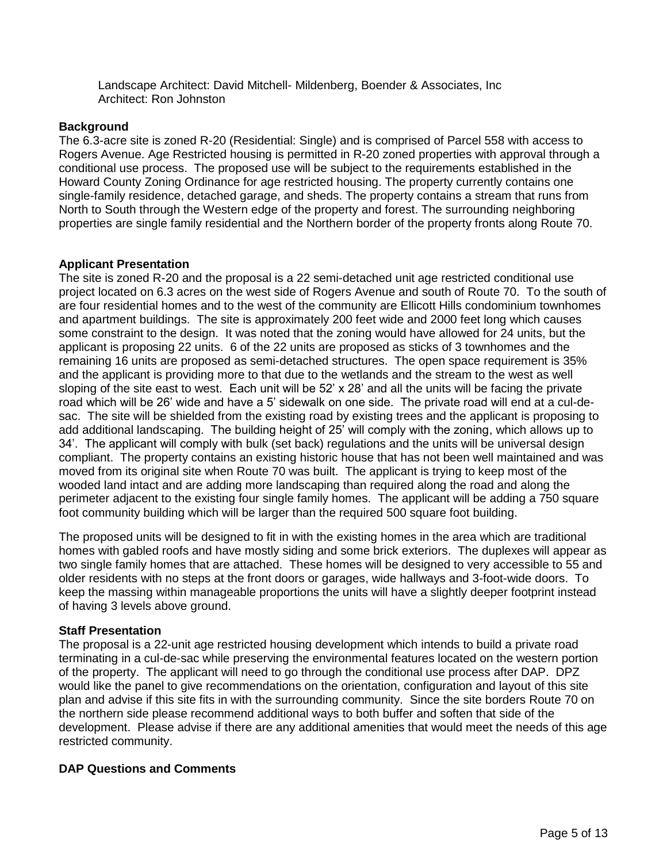Landscape Architect: David Mitchell- Mildenberg, Boender & Associates, Inc Architect: Ron Johnston

## **Background**

The 6.3-acre site is zoned R-20 (Residential: Single) and is comprised of Parcel 558 with access to Rogers Avenue. Age Restricted housing is permitted in R-20 zoned properties with approval through a conditional use process. The proposed use will be subject to the requirements established in the Howard County Zoning Ordinance for age restricted housing. The property currently contains one single-family residence, detached garage, and sheds. The property contains a stream that runs from North to South through the Western edge of the property and forest. The surrounding neighboring properties are single family residential and the Northern border of the property fronts along Route 70.

## **Applicant Presentation**

The site is zoned R-20 and the proposal is a 22 semi-detached unit age restricted conditional use project located on 6.3 acres on the west side of Rogers Avenue and south of Route 70. To the south of are four residential homes and to the west of the community are Ellicott Hills condominium townhomes and apartment buildings. The site is approximately 200 feet wide and 2000 feet long which causes some constraint to the design. It was noted that the zoning would have allowed for 24 units, but the applicant is proposing 22 units. 6 of the 22 units are proposed as sticks of 3 townhomes and the remaining 16 units are proposed as semi-detached structures. The open space requirement is 35% and the applicant is providing more to that due to the wetlands and the stream to the west as well sloping of the site east to west. Each unit will be 52' x 28' and all the units will be facing the private road which will be 26' wide and have a 5' sidewalk on one side. The private road will end at a cul-desac. The site will be shielded from the existing road by existing trees and the applicant is proposing to add additional landscaping. The building height of 25' will comply with the zoning, which allows up to 34'. The applicant will comply with bulk (set back) regulations and the units will be universal design compliant. The property contains an existing historic house that has not been well maintained and was moved from its original site when Route 70 was built. The applicant is trying to keep most of the wooded land intact and are adding more landscaping than required along the road and along the perimeter adjacent to the existing four single family homes. The applicant will be adding a 750 square foot community building which will be larger than the required 500 square foot building.

The proposed units will be designed to fit in with the existing homes in the area which are traditional homes with gabled roofs and have mostly siding and some brick exteriors. The duplexes will appear as two single family homes that are attached. These homes will be designed to very accessible to 55 and older residents with no steps at the front doors or garages, wide hallways and 3-foot-wide doors. To keep the massing within manageable proportions the units will have a slightly deeper footprint instead of having 3 levels above ground.

### **Staff Presentation**

The proposal is a 22-unit age restricted housing development which intends to build a private road terminating in a cul-de-sac while preserving the environmental features located on the western portion of the property. The applicant will need to go through the conditional use process after DAP. DPZ would like the panel to give recommendations on the orientation, configuration and layout of this site plan and advise if this site fits in with the surrounding community. Since the site borders Route 70 on the northern side please recommend additional ways to both buffer and soften that side of the development. Please advise if there are any additional amenities that would meet the needs of this age restricted community.

# **DAP Questions and Comments**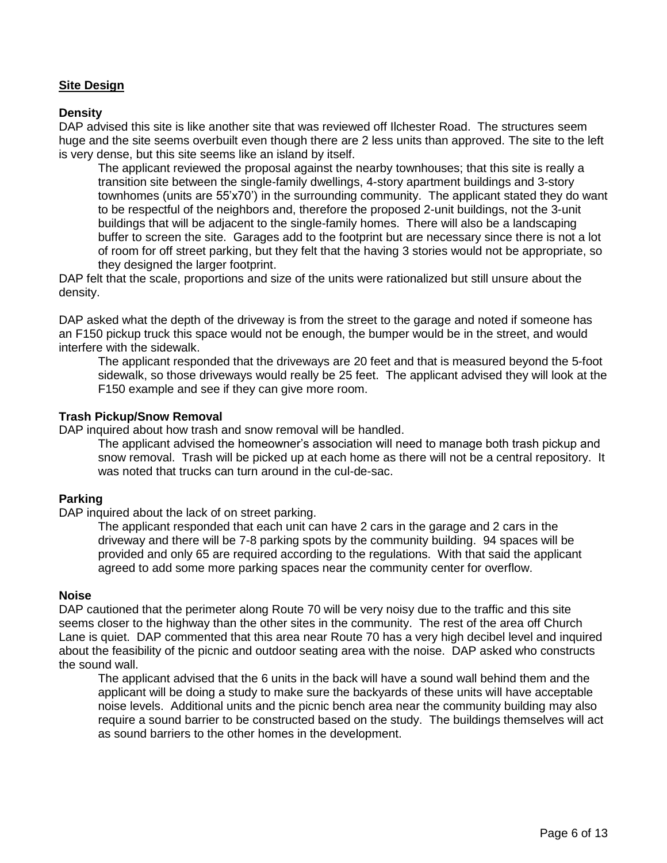# **Site Design**

### **Density**

DAP advised this site is like another site that was reviewed off Ilchester Road. The structures seem huge and the site seems overbuilt even though there are 2 less units than approved. The site to the left is very dense, but this site seems like an island by itself.

The applicant reviewed the proposal against the nearby townhouses; that this site is really a transition site between the single-family dwellings, 4-story apartment buildings and 3-story townhomes (units are 55'x70') in the surrounding community. The applicant stated they do want to be respectful of the neighbors and, therefore the proposed 2-unit buildings, not the 3-unit buildings that will be adjacent to the single-family homes. There will also be a landscaping buffer to screen the site. Garages add to the footprint but are necessary since there is not a lot of room for off street parking, but they felt that the having 3 stories would not be appropriate, so they designed the larger footprint.

DAP felt that the scale, proportions and size of the units were rationalized but still unsure about the density.

DAP asked what the depth of the driveway is from the street to the garage and noted if someone has an F150 pickup truck this space would not be enough, the bumper would be in the street, and would interfere with the sidewalk.

The applicant responded that the driveways are 20 feet and that is measured beyond the 5-foot sidewalk, so those driveways would really be 25 feet. The applicant advised they will look at the F150 example and see if they can give more room.

#### **Trash Pickup/Snow Removal**

DAP inquired about how trash and snow removal will be handled.

The applicant advised the homeowner's association will need to manage both trash pickup and snow removal. Trash will be picked up at each home as there will not be a central repository. It was noted that trucks can turn around in the cul-de-sac.

### **Parking**

DAP inquired about the lack of on street parking.

The applicant responded that each unit can have 2 cars in the garage and 2 cars in the driveway and there will be 7-8 parking spots by the community building. 94 spaces will be provided and only 65 are required according to the regulations. With that said the applicant agreed to add some more parking spaces near the community center for overflow.

### **Noise**

DAP cautioned that the perimeter along Route 70 will be very noisy due to the traffic and this site seems closer to the highway than the other sites in the community. The rest of the area off Church Lane is quiet. DAP commented that this area near Route 70 has a very high decibel level and inquired about the feasibility of the picnic and outdoor seating area with the noise. DAP asked who constructs the sound wall.

The applicant advised that the 6 units in the back will have a sound wall behind them and the applicant will be doing a study to make sure the backyards of these units will have acceptable noise levels. Additional units and the picnic bench area near the community building may also require a sound barrier to be constructed based on the study. The buildings themselves will act as sound barriers to the other homes in the development.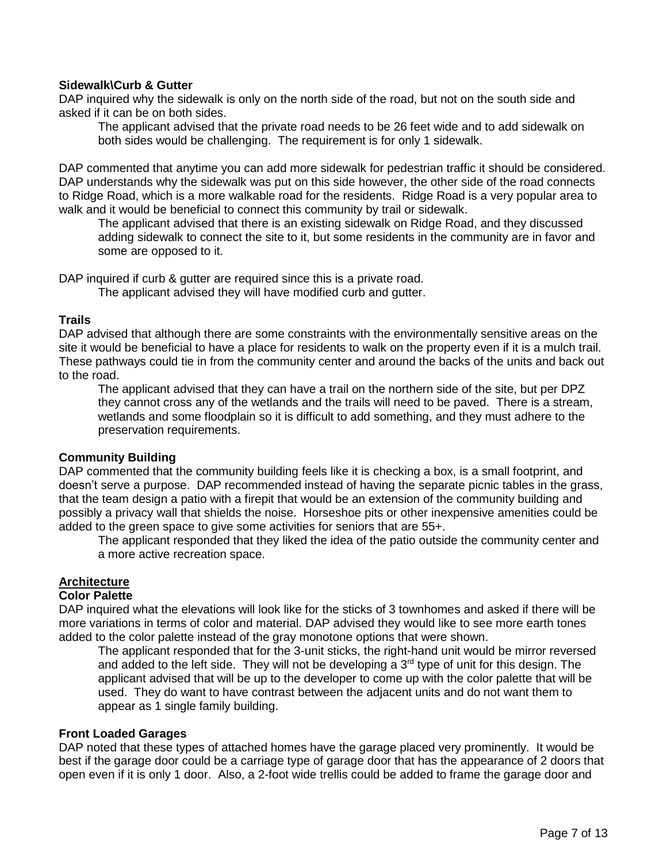# **Sidewalk\Curb & Gutter**

DAP inquired why the sidewalk is only on the north side of the road, but not on the south side and asked if it can be on both sides.

The applicant advised that the private road needs to be 26 feet wide and to add sidewalk on both sides would be challenging. The requirement is for only 1 sidewalk.

DAP commented that anytime you can add more sidewalk for pedestrian traffic it should be considered. DAP understands why the sidewalk was put on this side however, the other side of the road connects to Ridge Road, which is a more walkable road for the residents. Ridge Road is a very popular area to walk and it would be beneficial to connect this community by trail or sidewalk.

The applicant advised that there is an existing sidewalk on Ridge Road, and they discussed adding sidewalk to connect the site to it, but some residents in the community are in favor and some are opposed to it.

DAP inquired if curb & gutter are required since this is a private road.

The applicant advised they will have modified curb and gutter.

### **Trails**

DAP advised that although there are some constraints with the environmentally sensitive areas on the site it would be beneficial to have a place for residents to walk on the property even if it is a mulch trail. These pathways could tie in from the community center and around the backs of the units and back out to the road.

The applicant advised that they can have a trail on the northern side of the site, but per DPZ they cannot cross any of the wetlands and the trails will need to be paved. There is a stream, wetlands and some floodplain so it is difficult to add something, and they must adhere to the preservation requirements.

### **Community Building**

DAP commented that the community building feels like it is checking a box, is a small footprint, and doesn't serve a purpose. DAP recommended instead of having the separate picnic tables in the grass, that the team design a patio with a firepit that would be an extension of the community building and possibly a privacy wall that shields the noise. Horseshoe pits or other inexpensive amenities could be added to the green space to give some activities for seniors that are 55+.

The applicant responded that they liked the idea of the patio outside the community center and a more active recreation space.

# **Architecture**

#### **Color Palette**

DAP inquired what the elevations will look like for the sticks of 3 townhomes and asked if there will be more variations in terms of color and material. DAP advised they would like to see more earth tones added to the color palette instead of the gray monotone options that were shown.

The applicant responded that for the 3-unit sticks, the right-hand unit would be mirror reversed and added to the left side. They will not be developing a  $3<sup>rd</sup>$  type of unit for this design. The applicant advised that will be up to the developer to come up with the color palette that will be used. They do want to have contrast between the adjacent units and do not want them to appear as 1 single family building.

#### **Front Loaded Garages**

DAP noted that these types of attached homes have the garage placed very prominently. It would be best if the garage door could be a carriage type of garage door that has the appearance of 2 doors that open even if it is only 1 door. Also, a 2-foot wide trellis could be added to frame the garage door and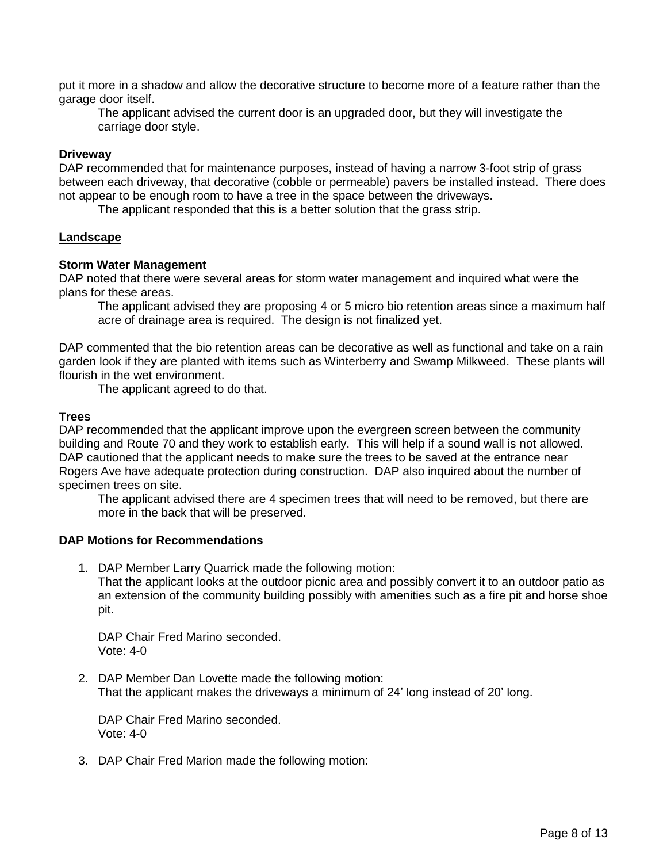put it more in a shadow and allow the decorative structure to become more of a feature rather than the garage door itself.

The applicant advised the current door is an upgraded door, but they will investigate the carriage door style.

### **Driveway**

DAP recommended that for maintenance purposes, instead of having a narrow 3-foot strip of grass between each driveway, that decorative (cobble or permeable) pavers be installed instead. There does not appear to be enough room to have a tree in the space between the driveways.

The applicant responded that this is a better solution that the grass strip.

## **Landscape**

### **Storm Water Management**

DAP noted that there were several areas for storm water management and inquired what were the plans for these areas.

The applicant advised they are proposing 4 or 5 micro bio retention areas since a maximum half acre of drainage area is required. The design is not finalized yet.

DAP commented that the bio retention areas can be decorative as well as functional and take on a rain garden look if they are planted with items such as Winterberry and Swamp Milkweed. These plants will flourish in the wet environment.

The applicant agreed to do that.

### **Trees**

DAP recommended that the applicant improve upon the evergreen screen between the community building and Route 70 and they work to establish early. This will help if a sound wall is not allowed. DAP cautioned that the applicant needs to make sure the trees to be saved at the entrance near Rogers Ave have adequate protection during construction. DAP also inquired about the number of specimen trees on site.

The applicant advised there are 4 specimen trees that will need to be removed, but there are more in the back that will be preserved.

# **DAP Motions for Recommendations**

1. DAP Member Larry Quarrick made the following motion:

That the applicant looks at the outdoor picnic area and possibly convert it to an outdoor patio as an extension of the community building possibly with amenities such as a fire pit and horse shoe pit.

DAP Chair Fred Marino seconded. Vote: 4-0

2. DAP Member Dan Lovette made the following motion: That the applicant makes the driveways a minimum of 24' long instead of 20' long.

DAP Chair Fred Marino seconded. Vote: 4-0

3. DAP Chair Fred Marion made the following motion: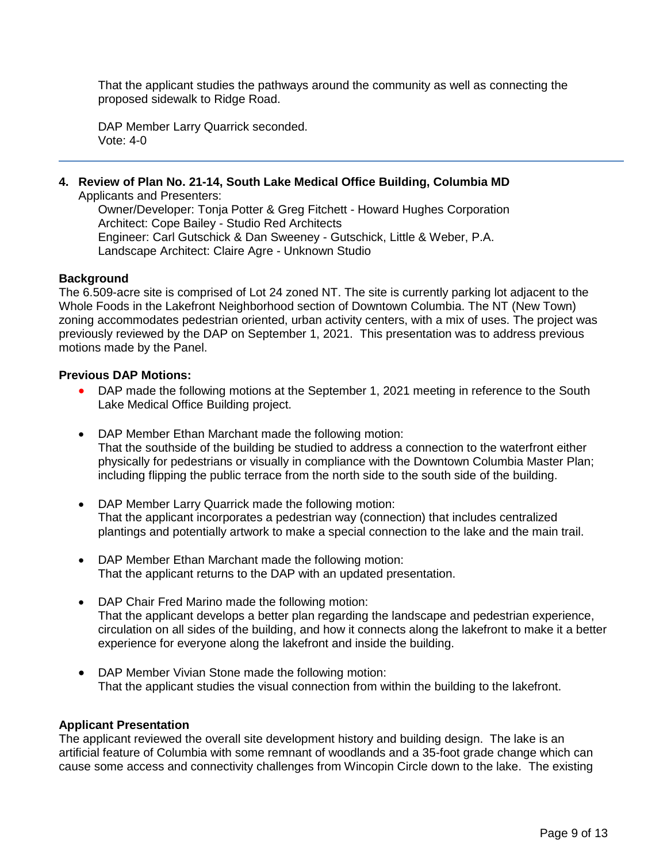That the applicant studies the pathways around the community as well as connecting the proposed sidewalk to Ridge Road.

DAP Member Larry Quarrick seconded. Vote: 4-0

**4. Review of Plan No. 21-14, South Lake Medical Office Building, Columbia MD**

Applicants and Presenters:

Owner/Developer: Tonja Potter & Greg Fitchett - Howard Hughes Corporation Architect: Cope Bailey - Studio Red Architects Engineer: Carl Gutschick & Dan Sweeney - Gutschick, Little & Weber, P.A. Landscape Architect: Claire Agre - Unknown Studio

## **Background**

The 6.509-acre site is comprised of Lot 24 zoned NT. The site is currently parking lot adjacent to the Whole Foods in the Lakefront Neighborhood section of Downtown Columbia. The NT (New Town) zoning accommodates pedestrian oriented, urban activity centers, with a mix of uses. The project was previously reviewed by the DAP on September 1, 2021. This presentation was to address previous motions made by the Panel.

### **Previous DAP Motions:**

- DAP made the following motions at the September 1, 2021 meeting in reference to the South Lake Medical Office Building project.
- DAP Member Ethan Marchant made the following motion: That the southside of the building be studied to address a connection to the waterfront either physically for pedestrians or visually in compliance with the Downtown Columbia Master Plan; including flipping the public terrace from the north side to the south side of the building.
- DAP Member Larry Quarrick made the following motion: That the applicant incorporates a pedestrian way (connection) that includes centralized plantings and potentially artwork to make a special connection to the lake and the main trail.
- DAP Member Ethan Marchant made the following motion: That the applicant returns to the DAP with an updated presentation.
- DAP Chair Fred Marino made the following motion: That the applicant develops a better plan regarding the landscape and pedestrian experience, circulation on all sides of the building, and how it connects along the lakefront to make it a better experience for everyone along the lakefront and inside the building.
- DAP Member Vivian Stone made the following motion: That the applicant studies the visual connection from within the building to the lakefront.

### **Applicant Presentation**

The applicant reviewed the overall site development history and building design. The lake is an artificial feature of Columbia with some remnant of woodlands and a 35-foot grade change which can cause some access and connectivity challenges from Wincopin Circle down to the lake. The existing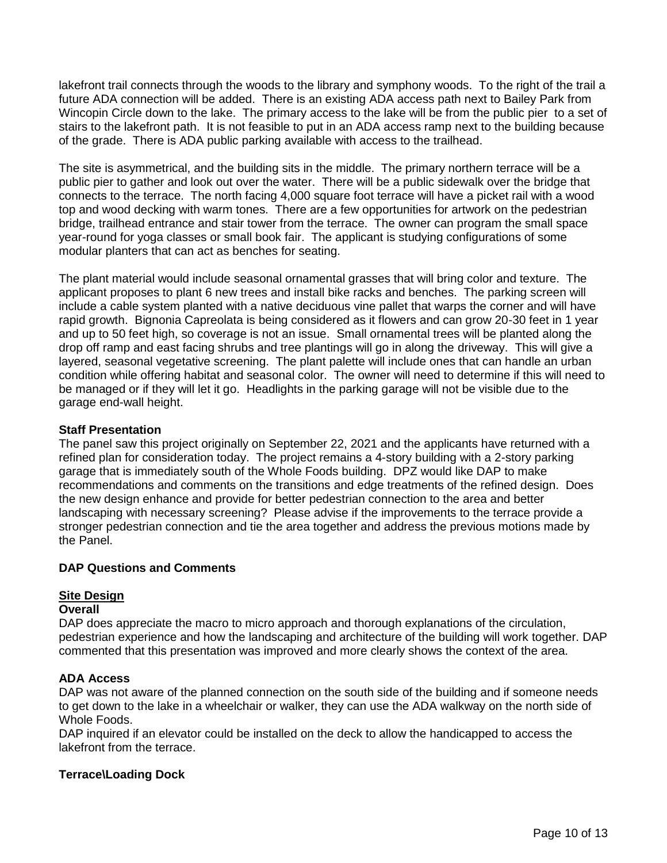lakefront trail connects through the woods to the library and symphony woods. To the right of the trail a future ADA connection will be added. There is an existing ADA access path next to Bailey Park from Wincopin Circle down to the lake. The primary access to the lake will be from the public pier to a set of stairs to the lakefront path. It is not feasible to put in an ADA access ramp next to the building because of the grade. There is ADA public parking available with access to the trailhead.

The site is asymmetrical, and the building sits in the middle. The primary northern terrace will be a public pier to gather and look out over the water. There will be a public sidewalk over the bridge that connects to the terrace. The north facing 4,000 square foot terrace will have a picket rail with a wood top and wood decking with warm tones. There are a few opportunities for artwork on the pedestrian bridge, trailhead entrance and stair tower from the terrace. The owner can program the small space year-round for yoga classes or small book fair. The applicant is studying configurations of some modular planters that can act as benches for seating.

The plant material would include seasonal ornamental grasses that will bring color and texture. The applicant proposes to plant 6 new trees and install bike racks and benches. The parking screen will include a cable system planted with a native deciduous vine pallet that warps the corner and will have rapid growth. Bignonia Capreolata is being considered as it flowers and can grow 20-30 feet in 1 year and up to 50 feet high, so coverage is not an issue. Small ornamental trees will be planted along the drop off ramp and east facing shrubs and tree plantings will go in along the driveway. This will give a layered, seasonal vegetative screening. The plant palette will include ones that can handle an urban condition while offering habitat and seasonal color. The owner will need to determine if this will need to be managed or if they will let it go. Headlights in the parking garage will not be visible due to the garage end-wall height.

## **Staff Presentation**

The panel saw this project originally on September 22, 2021 and the applicants have returned with a refined plan for consideration today. The project remains a 4-story building with a 2-story parking garage that is immediately south of the Whole Foods building. DPZ would like DAP to make recommendations and comments on the transitions and edge treatments of the refined design. Does the new design enhance and provide for better pedestrian connection to the area and better landscaping with necessary screening? Please advise if the improvements to the terrace provide a stronger pedestrian connection and tie the area together and address the previous motions made by the Panel.

### **DAP Questions and Comments**

# **Site Design**

### **Overall**

DAP does appreciate the macro to micro approach and thorough explanations of the circulation, pedestrian experience and how the landscaping and architecture of the building will work together. DAP commented that this presentation was improved and more clearly shows the context of the area.

### **ADA Access**

DAP was not aware of the planned connection on the south side of the building and if someone needs to get down to the lake in a wheelchair or walker, they can use the ADA walkway on the north side of Whole Foods.

DAP inquired if an elevator could be installed on the deck to allow the handicapped to access the lakefront from the terrace.

# **Terrace\Loading Dock**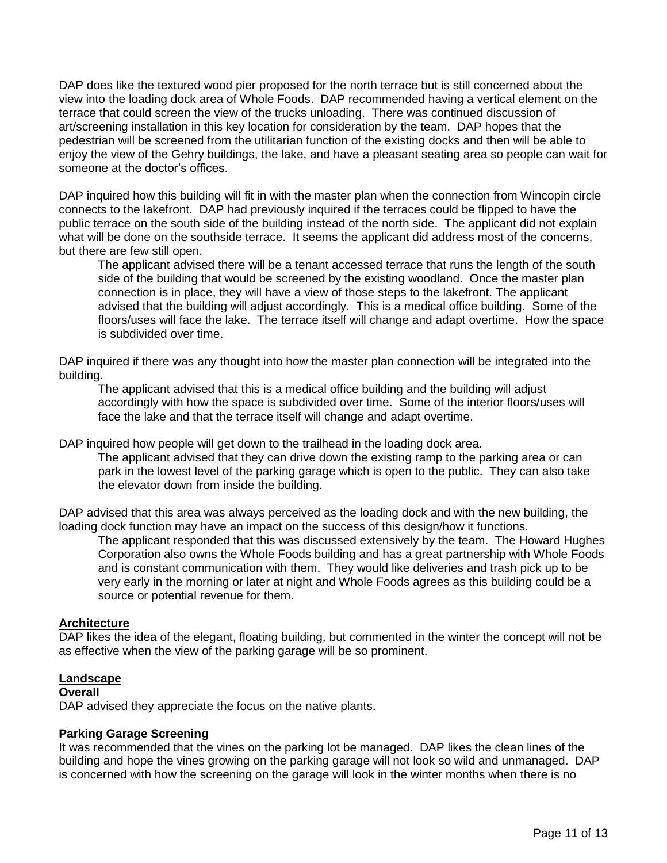DAP does like the textured wood pier proposed for the north terrace but is still concerned about the view into the loading dock area of Whole Foods. DAP recommended having a vertical element on the terrace that could screen the view of the trucks unloading. There was continued discussion of art/screening installation in this key location for consideration by the team. DAP hopes that the pedestrian will be screened from the utilitarian function of the existing docks and then will be able to enjoy the view of the Gehry buildings, the lake, and have a pleasant seating area so people can wait for someone at the doctor's offices.

DAP inquired how this building will fit in with the master plan when the connection from Wincopin circle connects to the lakefront. DAP had previously inquired if the terraces could be flipped to have the public terrace on the south side of the building instead of the north side. The applicant did not explain what will be done on the southside terrace. It seems the applicant did address most of the concerns, but there are few still open.

The applicant advised there will be a tenant accessed terrace that runs the length of the south side of the building that would be screened by the existing woodland. Once the master plan connection is in place, they will have a view of those steps to the lakefront. The applicant advised that the building will adjust accordingly. This is a medical office building. Some of the floors/uses will face the lake. The terrace itself will change and adapt overtime. How the space is subdivided over time.

DAP inquired if there was any thought into how the master plan connection will be integrated into the building.

The applicant advised that this is a medical office building and the building will adjust accordingly with how the space is subdivided over time. Some of the interior floors/uses will face the lake and that the terrace itself will change and adapt overtime.

DAP inquired how people will get down to the trailhead in the loading dock area.

The applicant advised that they can drive down the existing ramp to the parking area or can park in the lowest level of the parking garage which is open to the public. They can also take the elevator down from inside the building.

DAP advised that this area was always perceived as the loading dock and with the new building, the loading dock function may have an impact on the success of this design/how it functions.

The applicant responded that this was discussed extensively by the team. The Howard Hughes Corporation also owns the Whole Foods building and has a great partnership with Whole Foods and is constant communication with them. They would like deliveries and trash pick up to be very early in the morning or later at night and Whole Foods agrees as this building could be a source or potential revenue for them.

### **Architecture**

DAP likes the idea of the elegant, floating building, but commented in the winter the concept will not be as effective when the view of the parking garage will be so prominent.

### **Landscape**

### **Overall**

DAP advised they appreciate the focus on the native plants.

### **Parking Garage Screening**

It was recommended that the vines on the parking lot be managed. DAP likes the clean lines of the building and hope the vines growing on the parking garage will not look so wild and unmanaged. DAP is concerned with how the screening on the garage will look in the winter months when there is no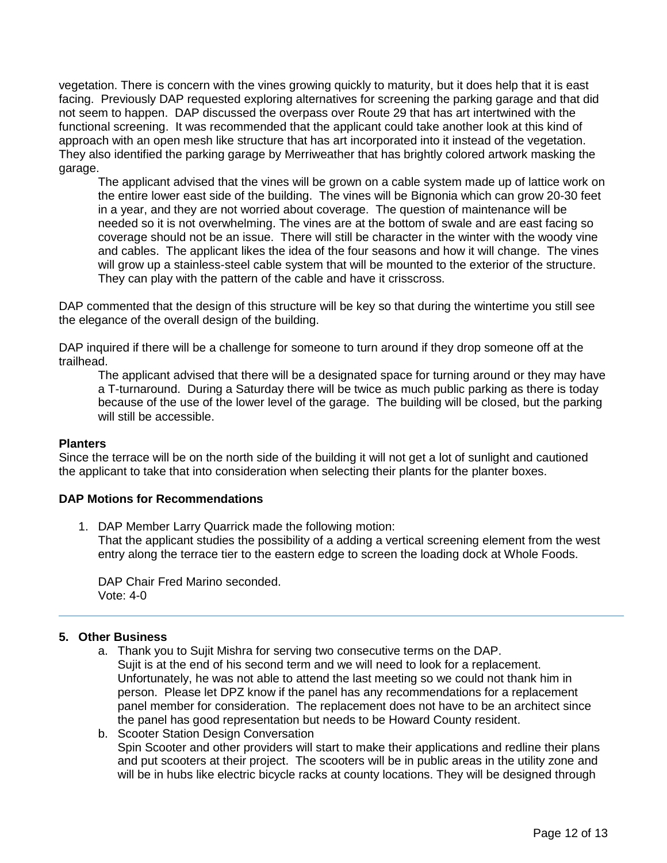vegetation. There is concern with the vines growing quickly to maturity, but it does help that it is east facing. Previously DAP requested exploring alternatives for screening the parking garage and that did not seem to happen. DAP discussed the overpass over Route 29 that has art intertwined with the functional screening. It was recommended that the applicant could take another look at this kind of approach with an open mesh like structure that has art incorporated into it instead of the vegetation. They also identified the parking garage by Merriweather that has brightly colored artwork masking the garage.

The applicant advised that the vines will be grown on a cable system made up of lattice work on the entire lower east side of the building. The vines will be Bignonia which can grow 20-30 feet in a year, and they are not worried about coverage. The question of maintenance will be needed so it is not overwhelming. The vines are at the bottom of swale and are east facing so coverage should not be an issue. There will still be character in the winter with the woody vine and cables. The applicant likes the idea of the four seasons and how it will change. The vines will grow up a stainless-steel cable system that will be mounted to the exterior of the structure. They can play with the pattern of the cable and have it crisscross.

DAP commented that the design of this structure will be key so that during the wintertime you still see the elegance of the overall design of the building.

DAP inquired if there will be a challenge for someone to turn around if they drop someone off at the trailhead.

The applicant advised that there will be a designated space for turning around or they may have a T-turnaround. During a Saturday there will be twice as much public parking as there is today because of the use of the lower level of the garage. The building will be closed, but the parking will still be accessible.

### **Planters**

Since the terrace will be on the north side of the building it will not get a lot of sunlight and cautioned the applicant to take that into consideration when selecting their plants for the planter boxes.

### **DAP Motions for Recommendations**

1. DAP Member Larry Quarrick made the following motion: That the applicant studies the possibility of a adding a vertical screening element from the west entry along the terrace tier to the eastern edge to screen the loading dock at Whole Foods.

DAP Chair Fred Marino seconded. Vote: 4-0

### **5. Other Business**

- a. Thank you to Sujit Mishra for serving two consecutive terms on the DAP. Sujit is at the end of his second term and we will need to look for a replacement. Unfortunately, he was not able to attend the last meeting so we could not thank him in person. Please let DPZ know if the panel has any recommendations for a replacement panel member for consideration. The replacement does not have to be an architect since the panel has good representation but needs to be Howard County resident.
- b. Scooter Station Design Conversation Spin Scooter and other providers will start to make their applications and redline their plans and put scooters at their project. The scooters will be in public areas in the utility zone and will be in hubs like electric bicycle racks at county locations. They will be designed through